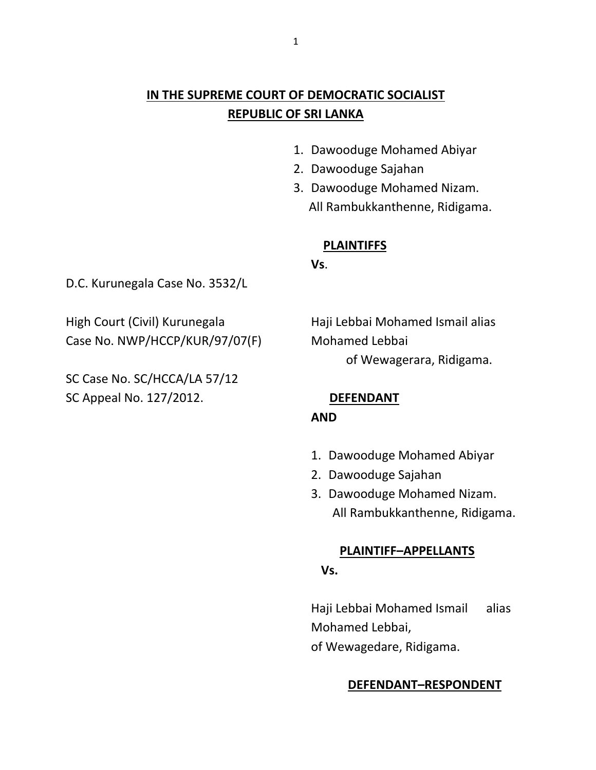# **IN THE SUPREME COURT OF DEMOCRATIC SOCIALIST REPUBLIC OF SRI LANKA**

- 1. Dawooduge Mohamed Abiyar
- 2. Dawooduge Sajahan
- 3. Dawooduge Mohamed Nizam. All Rambukkanthenne, Ridigama.

### **PLAINTIFFS**

**Vs**.

D.C. Kurunegala Case No. 3532/L

High Court (Civil) Kurunegala Haji Lebbai Mohamed Ismail alias Case No. NWP/HCCP/KUR/97/07(F) Mohamed Lebbai

SC Case No. SC/HCCA/LA 57/12 SC Appeal No. 127/2012. **DEFENDANT**

of Wewagerara, Ridigama.

## **AND**

- 1. Dawooduge Mohamed Abiyar
- 2. Dawooduge Sajahan
- 3. Dawooduge Mohamed Nizam. All Rambukkanthenne, Ridigama.

#### **PLAINTIFF–APPELLANTS**

#### **Vs.**

Haji Lebbai Mohamed Ismail alias Mohamed Lebbai, of Wewagedare, Ridigama.

#### **DEFENDANT–RESPONDENT**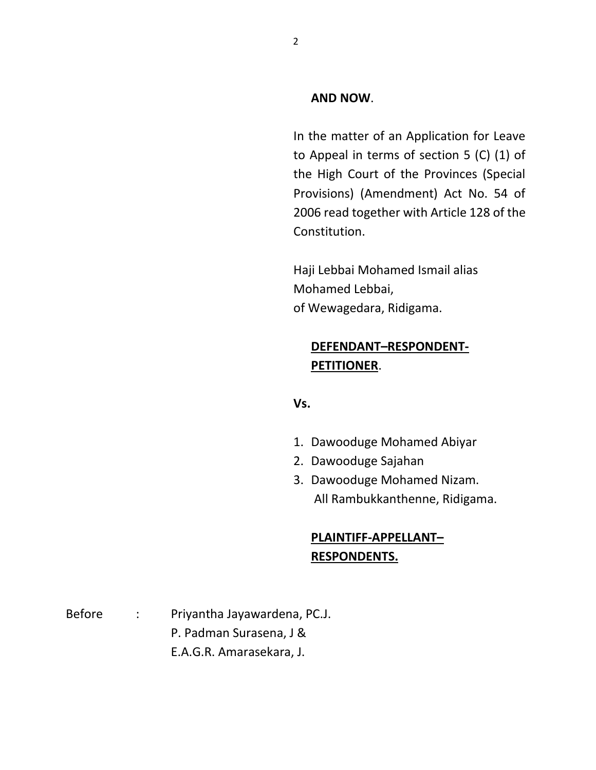#### **AND NOW**.

In the matter of an Application for Leave to Appeal in terms of section 5 (C) (1) of the High Court of the Provinces (Special Provisions) (Amendment) Act No. 54 of 2006 read together with Article 128 of the Constitution.

Haji Lebbai Mohamed Ismail alias Mohamed Lebbai, of Wewagedara, Ridigama.

## **DEFENDANT–RESPONDENT-PETITIONER**.

#### **Vs.**

- 1. Dawooduge Mohamed Abiyar
- 2. Dawooduge Sajahan
- 3. Dawooduge Mohamed Nizam. All Rambukkanthenne, Ridigama.

## **PLAINTIFF-APPELLANT– RESPONDENTS.**

Before : Priyantha Jayawardena, PC.J. P. Padman Surasena, J & E.A.G.R. Amarasekara, J.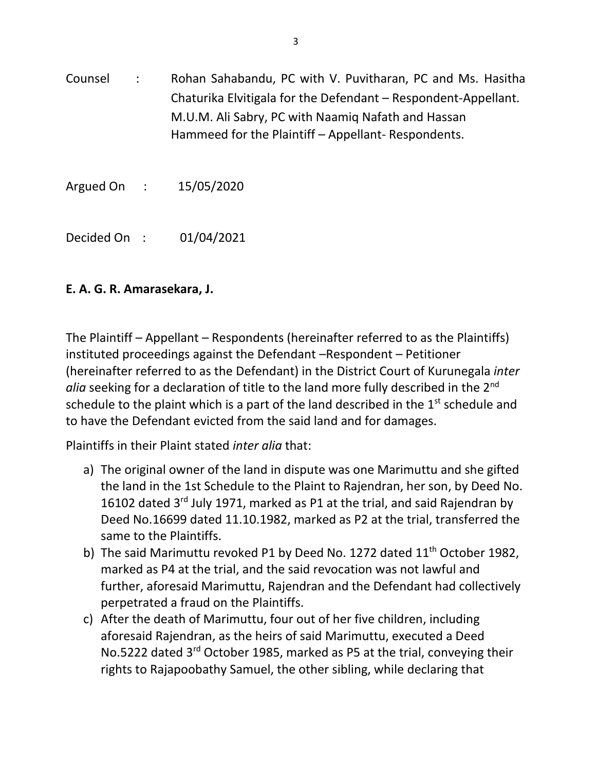Counsel : Rohan Sahabandu, PC with V. Puvitharan, PC and Ms. Hasitha Chaturika Elvitigala for the Defendant – Respondent-Appellant. M.U.M. Ali Sabry, PC with Naamiq Nafath and Hassan Hammeed for the Plaintiff – Appellant- Respondents.

Argued On : 15/05/2020

Decided On : 01/04/2021

# **E. A. G. R. Amarasekara, J.**

The Plaintiff – Appellant – Respondents (hereinafter referred to as the Plaintiffs) instituted proceedings against the Defendant –Respondent – Petitioner (hereinafter referred to as the Defendant) in the District Court of Kurunegala *inter alia* seeking for a declaration of title to the land more fully described in the 2nd schedule to the plaint which is a part of the land described in the  $1<sup>st</sup>$  schedule and to have the Defendant evicted from the said land and for damages.

Plaintiffs in their Plaint stated *inter alia* that:

- a) The original owner of the land in dispute was one Marimuttu and she gifted the land in the 1st Schedule to the Plaint to Rajendran, her son, by Deed No. 16102 dated 3<sup>rd</sup> July 1971, marked as P1 at the trial, and said Rajendran by Deed No.16699 dated 11.10.1982, marked as P2 at the trial, transferred the same to the Plaintiffs.
- b) The said Marimuttu revoked P1 by Deed No. 1272 dated 11<sup>th</sup> October 1982, marked as P4 at the trial, and the said revocation was not lawful and further, aforesaid Marimuttu, Rajendran and the Defendant had collectively perpetrated a fraud on the Plaintiffs.
- c) After the death of Marimuttu, four out of her five children, including aforesaid Rajendran, as the heirs of said Marimuttu, executed a Deed No.5222 dated 3<sup>rd</sup> October 1985, marked as P5 at the trial, conveying their rights to Rajapoobathy Samuel, the other sibling, while declaring that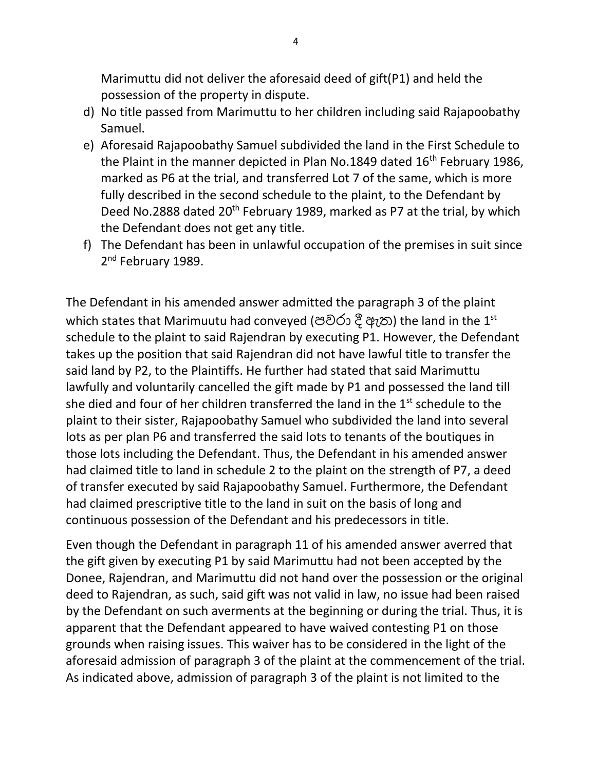Marimuttu did not deliver the aforesaid deed of gift(P1) and held the possession of the property in dispute.

- d) No title passed from Marimuttu to her children including said Rajapoobathy Samuel.
- e) Aforesaid Rajapoobathy Samuel subdivided the land in the First Schedule to the Plaint in the manner depicted in Plan No.1849 dated 16<sup>th</sup> February 1986, marked as P6 at the trial, and transferred Lot 7 of the same, which is more fully described in the second schedule to the plaint, to the Defendant by Deed No.2888 dated 20<sup>th</sup> February 1989, marked as P7 at the trial, by which the Defendant does not get any title.
- f) The Defendant has been in unlawful occupation of the premises in suit since 2<sup>nd</sup> February 1989.

The Defendant in his amended answer admitted the paragraph 3 of the plaint which states that Marimuutu had conveyed (පවරා දී ඇත) the land in the 1<sup>st</sup> schedule to the plaint to said Rajendran by executing P1. However, the Defendant takes up the position that said Rajendran did not have lawful title to transfer the said land by P2, to the Plaintiffs. He further had stated that said Marimuttu lawfully and voluntarily cancelled the gift made by P1 and possessed the land till she died and four of her children transferred the land in the  $1<sup>st</sup>$  schedule to the plaint to their sister, Rajapoobathy Samuel who subdivided the land into several lots as per plan P6 and transferred the said lots to tenants of the boutiques in those lots including the Defendant. Thus, the Defendant in his amended answer had claimed title to land in schedule 2 to the plaint on the strength of P7, a deed of transfer executed by said Rajapoobathy Samuel. Furthermore, the Defendant had claimed prescriptive title to the land in suit on the basis of long and continuous possession of the Defendant and his predecessors in title.

Even though the Defendant in paragraph 11 of his amended answer averred that the gift given by executing P1 by said Marimuttu had not been accepted by the Donee, Rajendran, and Marimuttu did not hand over the possession or the original deed to Rajendran, as such, said gift was not valid in law, no issue had been raised by the Defendant on such averments at the beginning or during the trial. Thus, it is apparent that the Defendant appeared to have waived contesting P1 on those grounds when raising issues. This waiver has to be considered in the light of the aforesaid admission of paragraph 3 of the plaint at the commencement of the trial. As indicated above, admission of paragraph 3 of the plaint is not limited to the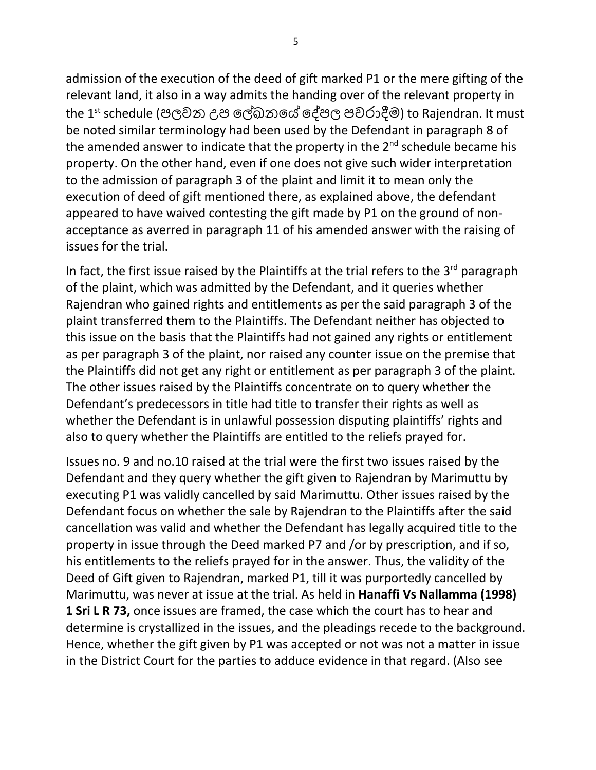admission of the execution of the deed of gift marked P1 or the mere gifting of the relevant land, it also in a way admits the handing over of the relevant property in the 1st schedule (පලවන උප ලේඛනලේ ලේපල පවරාදීම) to Rajendran. It must be noted similar terminology had been used by the Defendant in paragraph 8 of the amended answer to indicate that the property in the  $2<sup>nd</sup>$  schedule became his property. On the other hand, even if one does not give such wider interpretation to the admission of paragraph 3 of the plaint and limit it to mean only the execution of deed of gift mentioned there, as explained above, the defendant appeared to have waived contesting the gift made by P1 on the ground of nonacceptance as averred in paragraph 11 of his amended answer with the raising of issues for the trial.

In fact, the first issue raised by the Plaintiffs at the trial refers to the  $3<sup>rd</sup>$  paragraph of the plaint, which was admitted by the Defendant, and it queries whether Rajendran who gained rights and entitlements as per the said paragraph 3 of the plaint transferred them to the Plaintiffs. The Defendant neither has objected to this issue on the basis that the Plaintiffs had not gained any rights or entitlement as per paragraph 3 of the plaint, nor raised any counter issue on the premise that the Plaintiffs did not get any right or entitlement as per paragraph 3 of the plaint. The other issues raised by the Plaintiffs concentrate on to query whether the Defendant's predecessors in title had title to transfer their rights as well as whether the Defendant is in unlawful possession disputing plaintiffs' rights and also to query whether the Plaintiffs are entitled to the reliefs prayed for.

Issues no. 9 and no.10 raised at the trial were the first two issues raised by the Defendant and they query whether the gift given to Rajendran by Marimuttu by executing P1 was validly cancelled by said Marimuttu. Other issues raised by the Defendant focus on whether the sale by Rajendran to the Plaintiffs after the said cancellation was valid and whether the Defendant has legally acquired title to the property in issue through the Deed marked P7 and /or by prescription, and if so, his entitlements to the reliefs prayed for in the answer. Thus, the validity of the Deed of Gift given to Rajendran, marked P1, till it was purportedly cancelled by Marimuttu, was never at issue at the trial. As held in **Hanaffi Vs Nallamma (1998) 1 Sri L R 73,** once issues are framed, the case which the court has to hear and determine is crystallized in the issues, and the pleadings recede to the background. Hence, whether the gift given by P1 was accepted or not was not a matter in issue in the District Court for the parties to adduce evidence in that regard. (Also see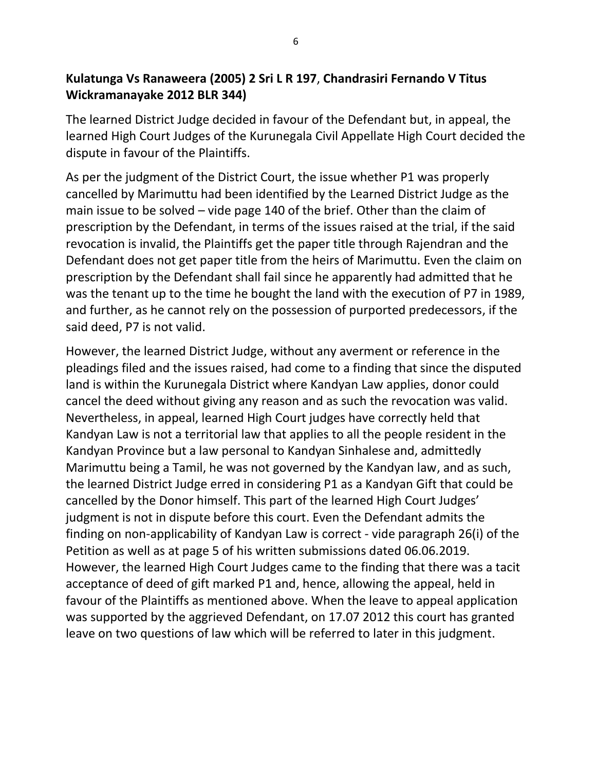## **Kulatunga Vs Ranaweera (2005) 2 Sri L R 197**, **Chandrasiri Fernando V Titus Wickramanayake 2012 BLR 344)**

The learned District Judge decided in favour of the Defendant but, in appeal, the learned High Court Judges of the Kurunegala Civil Appellate High Court decided the dispute in favour of the Plaintiffs.

As per the judgment of the District Court, the issue whether P1 was properly cancelled by Marimuttu had been identified by the Learned District Judge as the main issue to be solved – vide page 140 of the brief. Other than the claim of prescription by the Defendant, in terms of the issues raised at the trial, if the said revocation is invalid, the Plaintiffs get the paper title through Rajendran and the Defendant does not get paper title from the heirs of Marimuttu. Even the claim on prescription by the Defendant shall fail since he apparently had admitted that he was the tenant up to the time he bought the land with the execution of P7 in 1989, and further, as he cannot rely on the possession of purported predecessors, if the said deed, P7 is not valid.

However, the learned District Judge, without any averment or reference in the pleadings filed and the issues raised, had come to a finding that since the disputed land is within the Kurunegala District where Kandyan Law applies, donor could cancel the deed without giving any reason and as such the revocation was valid. Nevertheless, in appeal, learned High Court judges have correctly held that Kandyan Law is not a territorial law that applies to all the people resident in the Kandyan Province but a law personal to Kandyan Sinhalese and, admittedly Marimuttu being a Tamil, he was not governed by the Kandyan law, and as such, the learned District Judge erred in considering P1 as a Kandyan Gift that could be cancelled by the Donor himself. This part of the learned High Court Judges' judgment is not in dispute before this court. Even the Defendant admits the finding on non-applicability of Kandyan Law is correct - vide paragraph 26(i) of the Petition as well as at page 5 of his written submissions dated 06.06.2019. However, the learned High Court Judges came to the finding that there was a tacit acceptance of deed of gift marked P1 and, hence, allowing the appeal, held in favour of the Plaintiffs as mentioned above. When the leave to appeal application was supported by the aggrieved Defendant, on 17.07 2012 this court has granted leave on two questions of law which will be referred to later in this judgment.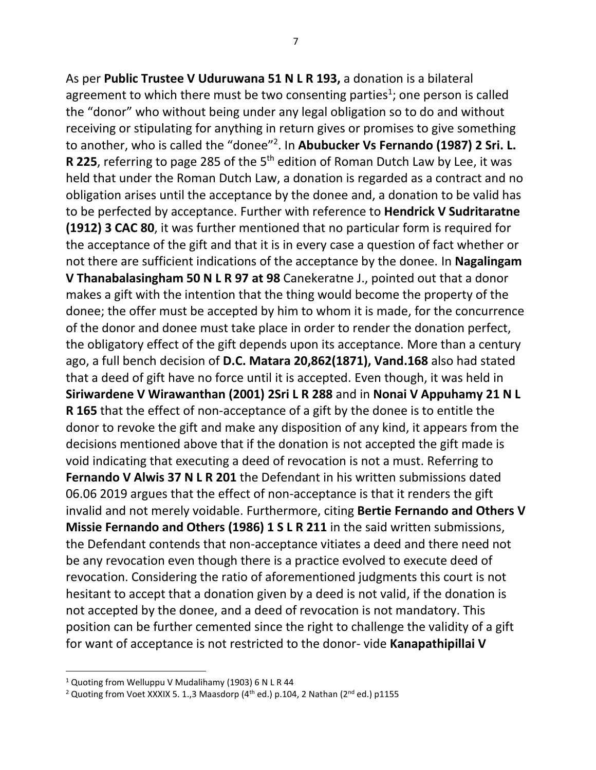As per **Public Trustee V Uduruwana 51 N L R 193,** a donation is a bilateral agreement to which there must be two consenting parties<sup>1</sup>; one person is called the "donor" who without being under any legal obligation so to do and without receiving or stipulating for anything in return gives or promises to give something to another, who is called the "donee"<sup>2</sup> . In **Abubucker Vs Fernando (1987) 2 Sri. L.** R 225, referring to page 285 of the 5<sup>th</sup> edition of Roman Dutch Law by Lee, it was held that under the Roman Dutch Law, a donation is regarded as a contract and no obligation arises until the acceptance by the donee and, a donation to be valid has to be perfected by acceptance. Further with reference to **Hendrick V Sudritaratne (1912) 3 CAC 80**, it was further mentioned that no particular form is required for the acceptance of the gift and that it is in every case a question of fact whether or not there are sufficient indications of the acceptance by the donee. In **Nagalingam V Thanabalasingham 50 N L R 97 at 98** Canekeratne J., pointed out that a donor makes a gift with the intention that the thing would become the property of the donee; the offer must be accepted by him to whom it is made, for the concurrence of the donor and donee must take place in order to render the donation perfect, the obligatory effect of the gift depends upon its acceptance. More than a century ago, a full bench decision of **D.C. Matara 20,862(1871), Vand.168** also had stated that a deed of gift have no force until it is accepted. Even though, it was held in **Siriwardene V Wirawanthan (2001) 2Sri L R 288** and in **Nonai V Appuhamy 21 N L R 165** that the effect of non-acceptance of a gift by the donee is to entitle the donor to revoke the gift and make any disposition of any kind, it appears from the decisions mentioned above that if the donation is not accepted the gift made is void indicating that executing a deed of revocation is not a must. Referring to **Fernando V Alwis 37 N L R 201** the Defendant in his written submissions dated 06.06 2019 argues that the effect of non-acceptance is that it renders the gift invalid and not merely voidable. Furthermore, citing **Bertie Fernando and Others V Missie Fernando and Others (1986) 1 S L R 211** in the said written submissions, the Defendant contends that non-acceptance vitiates a deed and there need not be any revocation even though there is a practice evolved to execute deed of revocation. Considering the ratio of aforementioned judgments this court is not hesitant to accept that a donation given by a deed is not valid, if the donation is not accepted by the donee, and a deed of revocation is not mandatory. This position can be further cemented since the right to challenge the validity of a gift for want of acceptance is not restricted to the donor- vide **Kanapathipillai V** 

 $1$  Quoting from Welluppu V Mudalihamy (1903) 6 N L R 44

<sup>&</sup>lt;sup>2</sup> Quoting from Voet XXXIX 5. 1.,3 Maasdorp (4<sup>th</sup> ed.) p.104, 2 Nathan (2<sup>nd</sup> ed.) p1155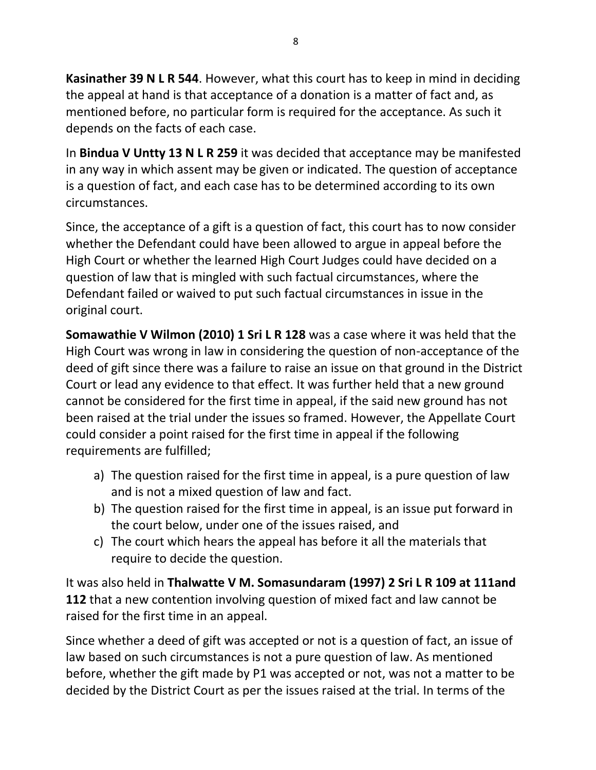**Kasinather 39 N L R 544**. However, what this court has to keep in mind in deciding the appeal at hand is that acceptance of a donation is a matter of fact and, as mentioned before, no particular form is required for the acceptance. As such it depends on the facts of each case.

In **Bindua V Untty 13 N L R 259** it was decided that acceptance may be manifested in any way in which assent may be given or indicated. The question of acceptance is a question of fact, and each case has to be determined according to its own circumstances.

Since, the acceptance of a gift is a question of fact, this court has to now consider whether the Defendant could have been allowed to argue in appeal before the High Court or whether the learned High Court Judges could have decided on a question of law that is mingled with such factual circumstances, where the Defendant failed or waived to put such factual circumstances in issue in the original court.

**Somawathie V Wilmon (2010) 1 Sri L R 128** was a case where it was held that the High Court was wrong in law in considering the question of non-acceptance of the deed of gift since there was a failure to raise an issue on that ground in the District Court or lead any evidence to that effect. It was further held that a new ground cannot be considered for the first time in appeal, if the said new ground has not been raised at the trial under the issues so framed. However, the Appellate Court could consider a point raised for the first time in appeal if the following requirements are fulfilled;

- a) The question raised for the first time in appeal, is a pure question of law and is not a mixed question of law and fact.
- b) The question raised for the first time in appeal, is an issue put forward in the court below, under one of the issues raised, and
- c) The court which hears the appeal has before it all the materials that require to decide the question.

It was also held in **Thalwatte V M. Somasundaram (1997) 2 Sri L R 109 at 111and 112** that a new contention involving question of mixed fact and law cannot be raised for the first time in an appeal.

Since whether a deed of gift was accepted or not is a question of fact, an issue of law based on such circumstances is not a pure question of law. As mentioned before, whether the gift made by P1 was accepted or not, was not a matter to be decided by the District Court as per the issues raised at the trial. In terms of the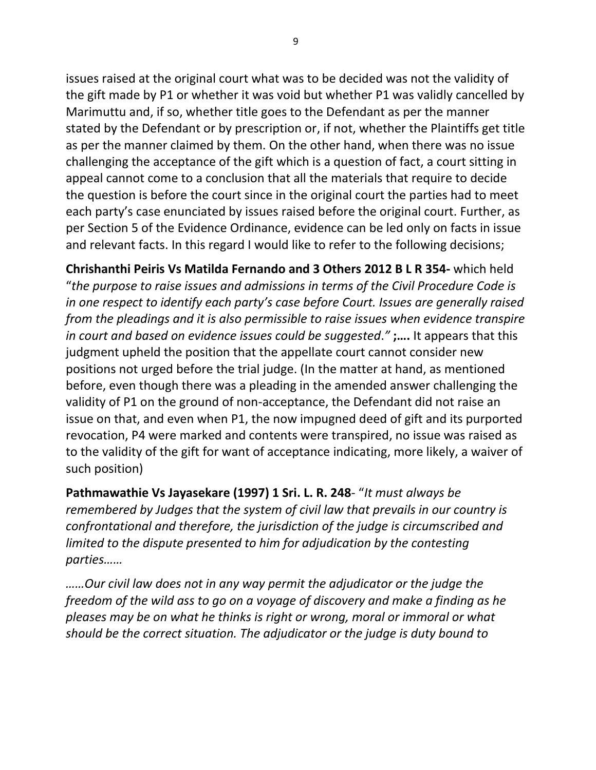issues raised at the original court what was to be decided was not the validity of the gift made by P1 or whether it was void but whether P1 was validly cancelled by Marimuttu and, if so, whether title goes to the Defendant as per the manner stated by the Defendant or by prescription or, if not, whether the Plaintiffs get title as per the manner claimed by them. On the other hand, when there was no issue challenging the acceptance of the gift which is a question of fact, a court sitting in appeal cannot come to a conclusion that all the materials that require to decide the question is before the court since in the original court the parties had to meet each party's case enunciated by issues raised before the original court. Further, as per Section 5 of the Evidence Ordinance, evidence can be led only on facts in issue and relevant facts. In this regard I would like to refer to the following decisions;

**Chrishanthi Peiris Vs Matilda Fernando and 3 Others 2012 B L R 354-** which held "*the purpose to raise issues and admissions in terms of the Civil Procedure Code is in one respect to identify each party's case before Court. Issues are generally raised from the pleadings and it is also permissible to raise issues when evidence transpire in court and based on evidence issues could be suggested*.*"* **;….** It appears that this judgment upheld the position that the appellate court cannot consider new positions not urged before the trial judge. (In the matter at hand, as mentioned before, even though there was a pleading in the amended answer challenging the validity of P1 on the ground of non-acceptance, the Defendant did not raise an issue on that, and even when P1, the now impugned deed of gift and its purported revocation, P4 were marked and contents were transpired, no issue was raised as to the validity of the gift for want of acceptance indicating, more likely, a waiver of such position)

**Pathmawathie Vs Jayasekare (1997) 1 Sri. L. R. 248**- "*It must always be remembered by Judges that the system of civil law that prevails in our country is confrontational and therefore, the jurisdiction of the judge is circumscribed and limited to the dispute presented to him for adjudication by the contesting parties……*

*……Our civil law does not in any way permit the adjudicator or the judge the freedom of the wild ass to go on a voyage of discovery and make a finding as he pleases may be on what he thinks is right or wrong, moral or immoral or what should be the correct situation. The adjudicator or the judge is duty bound to*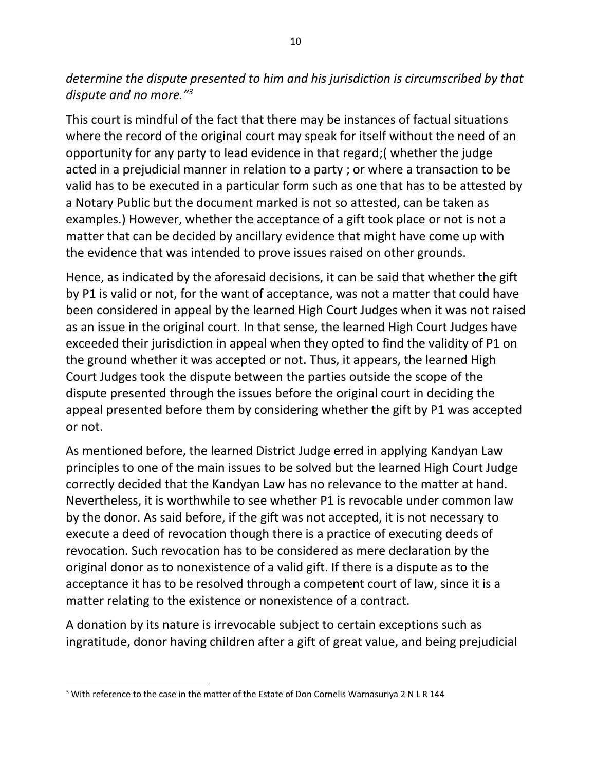*determine the dispute presented to him and his jurisdiction is circumscribed by that dispute and no more."<sup>3</sup>*

This court is mindful of the fact that there may be instances of factual situations where the record of the original court may speak for itself without the need of an opportunity for any party to lead evidence in that regard;( whether the judge acted in a prejudicial manner in relation to a party ; or where a transaction to be valid has to be executed in a particular form such as one that has to be attested by a Notary Public but the document marked is not so attested, can be taken as examples.) However, whether the acceptance of a gift took place or not is not a matter that can be decided by ancillary evidence that might have come up with the evidence that was intended to prove issues raised on other grounds.

Hence, as indicated by the aforesaid decisions, it can be said that whether the gift by P1 is valid or not, for the want of acceptance, was not a matter that could have been considered in appeal by the learned High Court Judges when it was not raised as an issue in the original court. In that sense, the learned High Court Judges have exceeded their jurisdiction in appeal when they opted to find the validity of P1 on the ground whether it was accepted or not. Thus, it appears, the learned High Court Judges took the dispute between the parties outside the scope of the dispute presented through the issues before the original court in deciding the appeal presented before them by considering whether the gift by P1 was accepted or not.

As mentioned before, the learned District Judge erred in applying Kandyan Law principles to one of the main issues to be solved but the learned High Court Judge correctly decided that the Kandyan Law has no relevance to the matter at hand. Nevertheless, it is worthwhile to see whether P1 is revocable under common law by the donor. As said before, if the gift was not accepted, it is not necessary to execute a deed of revocation though there is a practice of executing deeds of revocation. Such revocation has to be considered as mere declaration by the original donor as to nonexistence of a valid gift. If there is a dispute as to the acceptance it has to be resolved through a competent court of law, since it is a matter relating to the existence or nonexistence of a contract.

A donation by its nature is irrevocable subject to certain exceptions such as ingratitude, donor having children after a gift of great value, and being prejudicial

 $3$  With reference to the case in the matter of the Estate of Don Cornelis Warnasuriya 2 N L R 144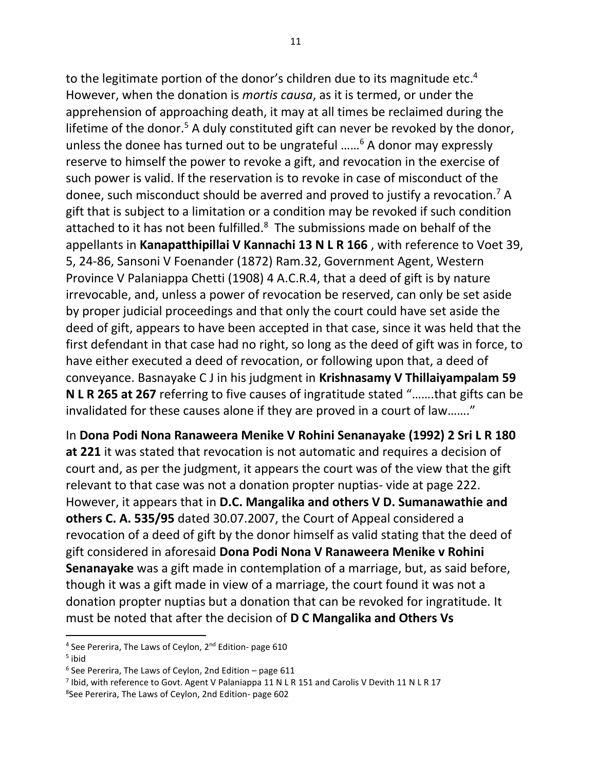to the legitimate portion of the donor's children due to its magnitude etc.<sup>4</sup> However, when the donation is *mortis causa*, as it is termed, or under the apprehension of approaching death, it may at all times be reclaimed during the lifetime of the donor.<sup>5</sup> A duly constituted gift can never be revoked by the donor, unless the donee has turned out to be ungrateful ……<sup>6</sup> A donor may expressly reserve to himself the power to revoke a gift, and revocation in the exercise of such power is valid. If the reservation is to revoke in case of misconduct of the donee, such misconduct should be averred and proved to justify a revocation.<sup>7</sup> A gift that is subject to a limitation or a condition may be revoked if such condition attached to it has not been fulfilled. $8$  The submissions made on behalf of the appellants in **Kanapatthipillai V Kannachi 13 N L R 166** , with reference to Voet 39, 5, 24-86, Sansoni V Foenander (1872) Ram.32, Government Agent, Western Province V Palaniappa Chetti (1908) 4 A.C.R.4, that a deed of gift is by nature irrevocable, and, unless a power of revocation be reserved, can only be set aside by proper judicial proceedings and that only the court could have set aside the deed of gift, appears to have been accepted in that case, since it was held that the first defendant in that case had no right, so long as the deed of gift was in force, to have either executed a deed of revocation, or following upon that, a deed of conveyance. Basnayake C J in his judgment in **Krishnasamy V Thillaiyampalam 59 N L R 265 at 267** referring to five causes of ingratitude stated "…….that gifts can be invalidated for these causes alone if they are proved in a court of law……."

In **Dona Podi Nona Ranaweera Menike V Rohini Senanayake (1992) 2 Sri L R 180 at 221** it was stated that revocation is not automatic and requires a decision of court and, as per the judgment, it appears the court was of the view that the gift relevant to that case was not a donation propter nuptias- vide at page 222. However, it appears that in **D.C. Mangalika and others V D. Sumanawathie and others C. A. 535/95** dated 30.07.2007, the Court of Appeal considered a revocation of a deed of gift by the donor himself as valid stating that the deed of gift considered in aforesaid **Dona Podi Nona V Ranaweera Menike v Rohini Senanayake** was a gift made in contemplation of a marriage, but, as said before, though it was a gift made in view of a marriage, the court found it was not a donation propter nuptias but a donation that can be revoked for ingratitude. It must be noted that after the decision of **D C Mangalika and Others Vs** 

<sup>&</sup>lt;sup>4</sup> See Pererira, The Laws of Ceylon, 2<sup>nd</sup> Edition- page 610

<sup>&</sup>lt;sup>5</sup> ibid

<sup>6</sup> See Pererira, The Laws of Ceylon, 2nd Edition – page 611

<sup>&</sup>lt;sup>7</sup> Ibid, with reference to Govt. Agent V Palaniappa 11 N L R 151 and Carolis V Devith 11 N L R 17

<sup>8</sup> See Pererira, The Laws of Ceylon, 2nd Edition- page 602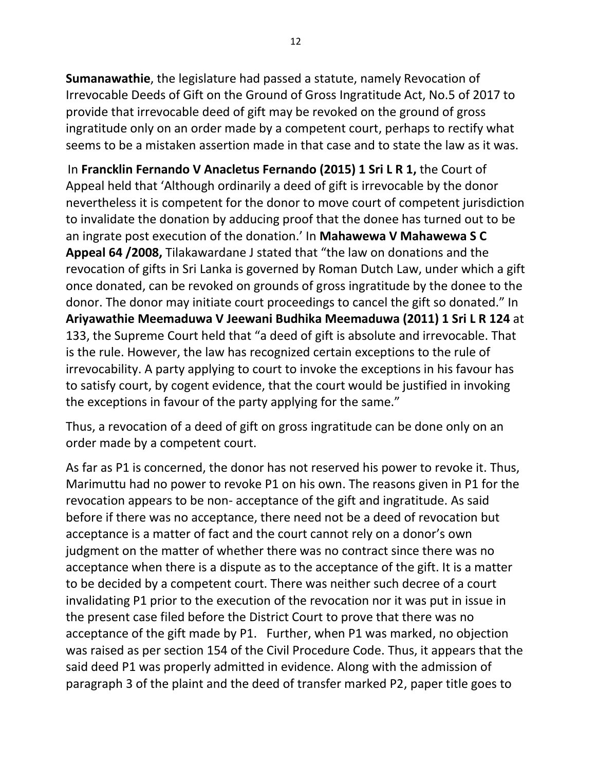**Sumanawathie**, the legislature had passed a statute, namely Revocation of Irrevocable Deeds of Gift on the Ground of Gross Ingratitude Act, No.5 of 2017 to provide that irrevocable deed of gift may be revoked on the ground of gross ingratitude only on an order made by a competent court, perhaps to rectify what seems to be a mistaken assertion made in that case and to state the law as it was.

 In **Francklin Fernando V Anacletus Fernando (2015) 1 Sri L R 1,** the Court of Appeal held that 'Although ordinarily a deed of gift is irrevocable by the donor nevertheless it is competent for the donor to move court of competent jurisdiction to invalidate the donation by adducing proof that the donee has turned out to be an ingrate post execution of the donation.' In **Mahawewa V Mahawewa S C Appeal 64 /2008,** Tilakawardane J stated that "the law on donations and the revocation of gifts in Sri Lanka is governed by Roman Dutch Law, under which a gift once donated, can be revoked on grounds of gross ingratitude by the donee to the donor. The donor may initiate court proceedings to cancel the gift so donated." In **Ariyawathie Meemaduwa V Jeewani Budhika Meemaduwa (2011) 1 Sri L R 124** at 133, the Supreme Court held that "a deed of gift is absolute and irrevocable. That is the rule. However, the law has recognized certain exceptions to the rule of irrevocability. A party applying to court to invoke the exceptions in his favour has to satisfy court, by cogent evidence, that the court would be justified in invoking the exceptions in favour of the party applying for the same."

Thus, a revocation of a deed of gift on gross ingratitude can be done only on an order made by a competent court.

As far as P1 is concerned, the donor has not reserved his power to revoke it. Thus, Marimuttu had no power to revoke P1 on his own. The reasons given in P1 for the revocation appears to be non- acceptance of the gift and ingratitude. As said before if there was no acceptance, there need not be a deed of revocation but acceptance is a matter of fact and the court cannot rely on a donor's own judgment on the matter of whether there was no contract since there was no acceptance when there is a dispute as to the acceptance of the gift. It is a matter to be decided by a competent court. There was neither such decree of a court invalidating P1 prior to the execution of the revocation nor it was put in issue in the present case filed before the District Court to prove that there was no acceptance of the gift made by P1. Further, when P1 was marked, no objection was raised as per section 154 of the Civil Procedure Code. Thus, it appears that the said deed P1 was properly admitted in evidence. Along with the admission of paragraph 3 of the plaint and the deed of transfer marked P2, paper title goes to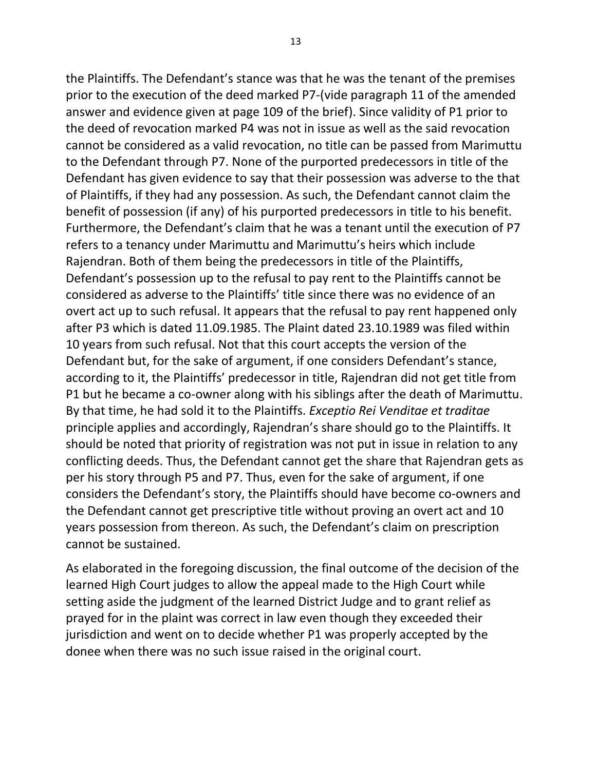the Plaintiffs. The Defendant's stance was that he was the tenant of the premises prior to the execution of the deed marked P7-(vide paragraph 11 of the amended answer and evidence given at page 109 of the brief). Since validity of P1 prior to the deed of revocation marked P4 was not in issue as well as the said revocation cannot be considered as a valid revocation, no title can be passed from Marimuttu to the Defendant through P7. None of the purported predecessors in title of the Defendant has given evidence to say that their possession was adverse to the that of Plaintiffs, if they had any possession. As such, the Defendant cannot claim the benefit of possession (if any) of his purported predecessors in title to his benefit. Furthermore, the Defendant's claim that he was a tenant until the execution of P7 refers to a tenancy under Marimuttu and Marimuttu's heirs which include Rajendran. Both of them being the predecessors in title of the Plaintiffs, Defendant's possession up to the refusal to pay rent to the Plaintiffs cannot be considered as adverse to the Plaintiffs' title since there was no evidence of an overt act up to such refusal. It appears that the refusal to pay rent happened only after P3 which is dated 11.09.1985. The Plaint dated 23.10.1989 was filed within 10 years from such refusal. Not that this court accepts the version of the Defendant but, for the sake of argument, if one considers Defendant's stance, according to it, the Plaintiffs' predecessor in title, Rajendran did not get title from P1 but he became a co-owner along with his siblings after the death of Marimuttu. By that time, he had sold it to the Plaintiffs. *Exceptio Rei Venditae et traditae* principle applies and accordingly, Rajendran's share should go to the Plaintiffs. It should be noted that priority of registration was not put in issue in relation to any conflicting deeds. Thus, the Defendant cannot get the share that Rajendran gets as per his story through P5 and P7. Thus, even for the sake of argument, if one considers the Defendant's story, the Plaintiffs should have become co-owners and the Defendant cannot get prescriptive title without proving an overt act and 10 years possession from thereon. As such, the Defendant's claim on prescription cannot be sustained.

As elaborated in the foregoing discussion, the final outcome of the decision of the learned High Court judges to allow the appeal made to the High Court while setting aside the judgment of the learned District Judge and to grant relief as prayed for in the plaint was correct in law even though they exceeded their jurisdiction and went on to decide whether P1 was properly accepted by the donee when there was no such issue raised in the original court.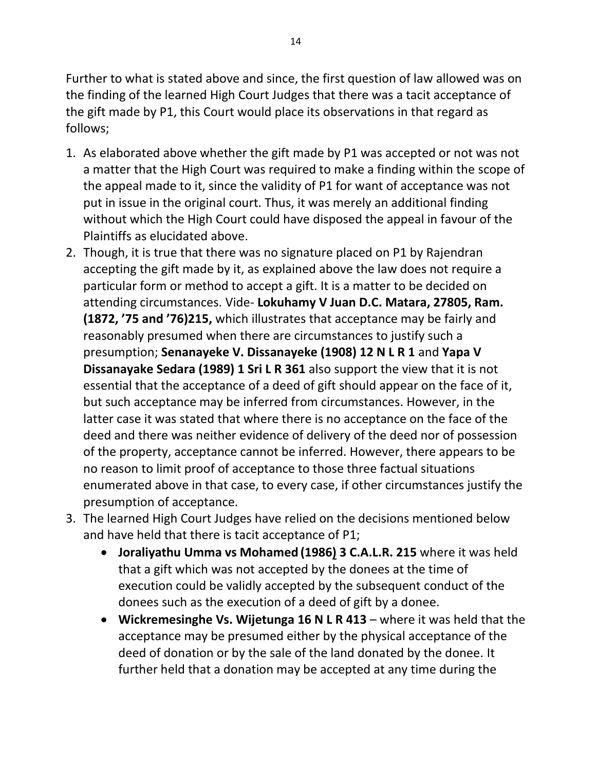Further to what is stated above and since, the first question of law allowed was on the finding of the learned High Court Judges that there was a tacit acceptance of the gift made by P1, this Court would place its observations in that regard as follows;

- 1. As elaborated above whether the gift made by P1 was accepted or not was not a matter that the High Court was required to make a finding within the scope of the appeal made to it, since the validity of P1 for want of acceptance was not put in issue in the original court. Thus, it was merely an additional finding without which the High Court could have disposed the appeal in favour of the Plaintiffs as elucidated above.
- 2. Though, it is true that there was no signature placed on P1 by Rajendran accepting the gift made by it, as explained above the law does not require a particular form or method to accept a gift. It is a matter to be decided on attending circumstances. Vide- **Lokuhamy V Juan D.C. Matara, 27805, Ram. (1872, '75 and '76)215,** which illustrates that acceptance may be fairly and reasonably presumed when there are circumstances to justify such a presumption; **Senanayeke V. Dissanayeke (1908) 12 N L R 1** and **Yapa V Dissanayake Sedara (1989) 1 Sri L R 361** also support the view that it is not essential that the acceptance of a deed of gift should appear on the face of it, but such acceptance may be inferred from circumstances. However, in the latter case it was stated that where there is no acceptance on the face of the deed and there was neither evidence of delivery of the deed nor of possession of the property, acceptance cannot be inferred. However, there appears to be no reason to limit proof of acceptance to those three factual situations enumerated above in that case, to every case, if other circumstances justify the presumption of acceptance.
- 3. The learned High Court Judges have relied on the decisions mentioned below and have held that there is tacit acceptance of P1;
	- **Joraliyathu Umma vs Mohamed (1986) 3 C.A.L.R. 215** where it was held that a gift which was not accepted by the donees at the time of execution could be validly accepted by the subsequent conduct of the donees such as the execution of a deed of gift by a donee.
	- **Wickremesinghe Vs. Wijetunga 16 N L R 413**  where it was held that the acceptance may be presumed either by the physical acceptance of the deed of donation or by the sale of the land donated by the donee. It further held that a donation may be accepted at any time during the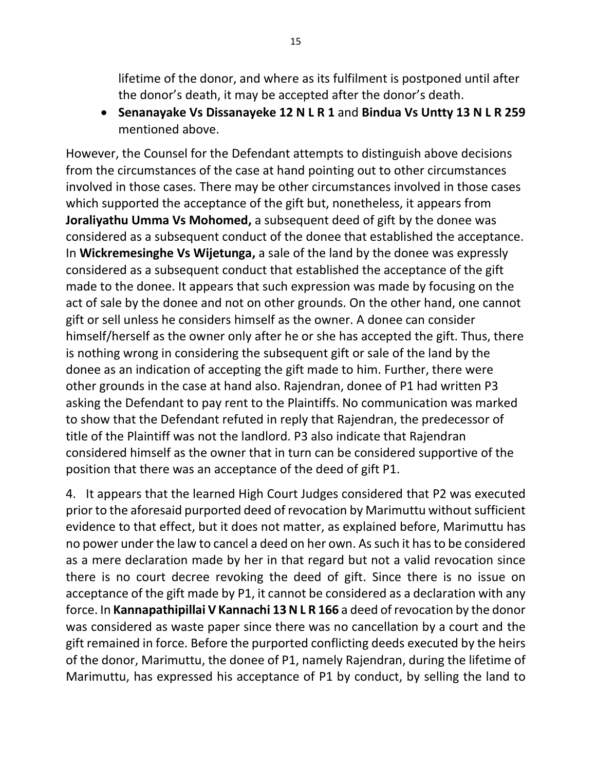lifetime of the donor, and where as its fulfilment is postponed until after the donor's death, it may be accepted after the donor's death.

• **Senanayake Vs Dissanayeke 12 N L R 1** and **Bindua Vs Untty 13 N L R 259** mentioned above.

However, the Counsel for the Defendant attempts to distinguish above decisions from the circumstances of the case at hand pointing out to other circumstances involved in those cases. There may be other circumstances involved in those cases which supported the acceptance of the gift but, nonetheless, it appears from **Joraliyathu Umma Vs Mohomed,** a subsequent deed of gift by the donee was considered as a subsequent conduct of the donee that established the acceptance. In **Wickremesinghe Vs Wijetunga,** a sale of the land by the donee was expressly considered as a subsequent conduct that established the acceptance of the gift made to the donee. It appears that such expression was made by focusing on the act of sale by the donee and not on other grounds. On the other hand, one cannot gift or sell unless he considers himself as the owner. A donee can consider himself/herself as the owner only after he or she has accepted the gift. Thus, there is nothing wrong in considering the subsequent gift or sale of the land by the donee as an indication of accepting the gift made to him. Further, there were other grounds in the case at hand also. Rajendran, donee of P1 had written P3 asking the Defendant to pay rent to the Plaintiffs. No communication was marked to show that the Defendant refuted in reply that Rajendran, the predecessor of title of the Plaintiff was not the landlord. P3 also indicate that Rajendran considered himself as the owner that in turn can be considered supportive of the position that there was an acceptance of the deed of gift P1.

4. It appears that the learned High Court Judges considered that P2 was executed prior to the aforesaid purported deed of revocation by Marimuttu without sufficient evidence to that effect, but it does not matter, as explained before, Marimuttu has no power under the law to cancel a deed on her own. As such it has to be considered as a mere declaration made by her in that regard but not a valid revocation since there is no court decree revoking the deed of gift. Since there is no issue on acceptance of the gift made by P1, it cannot be considered as a declaration with any force. In **Kannapathipillai V Kannachi 13 N L R 166** a deed of revocation by the donor was considered as waste paper since there was no cancellation by a court and the gift remained in force. Before the purported conflicting deeds executed by the heirs of the donor, Marimuttu, the donee of P1, namely Rajendran, during the lifetime of Marimuttu, has expressed his acceptance of P1 by conduct, by selling the land to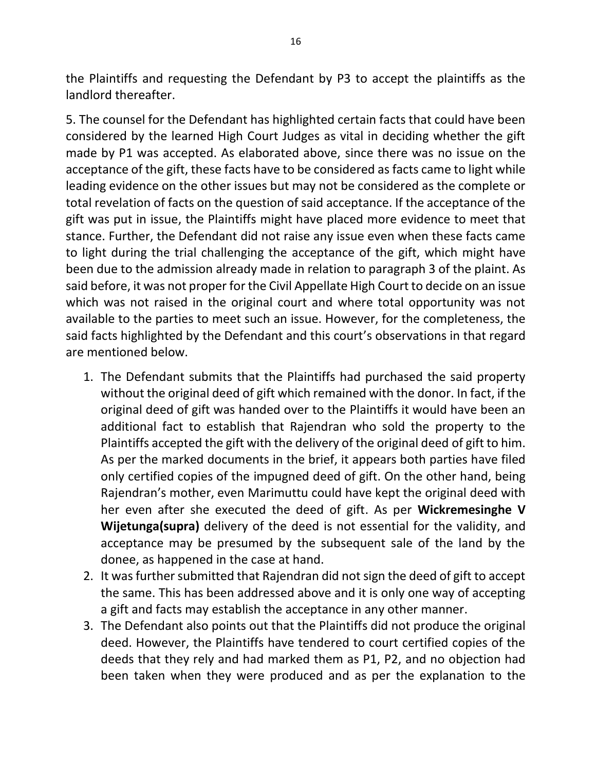the Plaintiffs and requesting the Defendant by P3 to accept the plaintiffs as the landlord thereafter.

5. The counsel for the Defendant has highlighted certain facts that could have been considered by the learned High Court Judges as vital in deciding whether the gift made by P1 was accepted. As elaborated above, since there was no issue on the acceptance of the gift, these facts have to be considered as facts came to light while leading evidence on the other issues but may not be considered as the complete or total revelation of facts on the question of said acceptance. If the acceptance of the gift was put in issue, the Plaintiffs might have placed more evidence to meet that stance. Further, the Defendant did not raise any issue even when these facts came to light during the trial challenging the acceptance of the gift, which might have been due to the admission already made in relation to paragraph 3 of the plaint. As said before, it was not proper for the Civil Appellate High Court to decide on an issue which was not raised in the original court and where total opportunity was not available to the parties to meet such an issue. However, for the completeness, the said facts highlighted by the Defendant and this court's observations in that regard are mentioned below.

- 1. The Defendant submits that the Plaintiffs had purchased the said property without the original deed of gift which remained with the donor. In fact, if the original deed of gift was handed over to the Plaintiffs it would have been an additional fact to establish that Rajendran who sold the property to the Plaintiffs accepted the gift with the delivery of the original deed of gift to him. As per the marked documents in the brief, it appears both parties have filed only certified copies of the impugned deed of gift. On the other hand, being Rajendran's mother, even Marimuttu could have kept the original deed with her even after she executed the deed of gift. As per **Wickremesinghe V Wijetunga(supra)** delivery of the deed is not essential for the validity, and acceptance may be presumed by the subsequent sale of the land by the donee, as happened in the case at hand.
- 2. It was further submitted that Rajendran did not sign the deed of gift to accept the same. This has been addressed above and it is only one way of accepting a gift and facts may establish the acceptance in any other manner.
- 3. The Defendant also points out that the Plaintiffs did not produce the original deed. However, the Plaintiffs have tendered to court certified copies of the deeds that they rely and had marked them as P1, P2, and no objection had been taken when they were produced and as per the explanation to the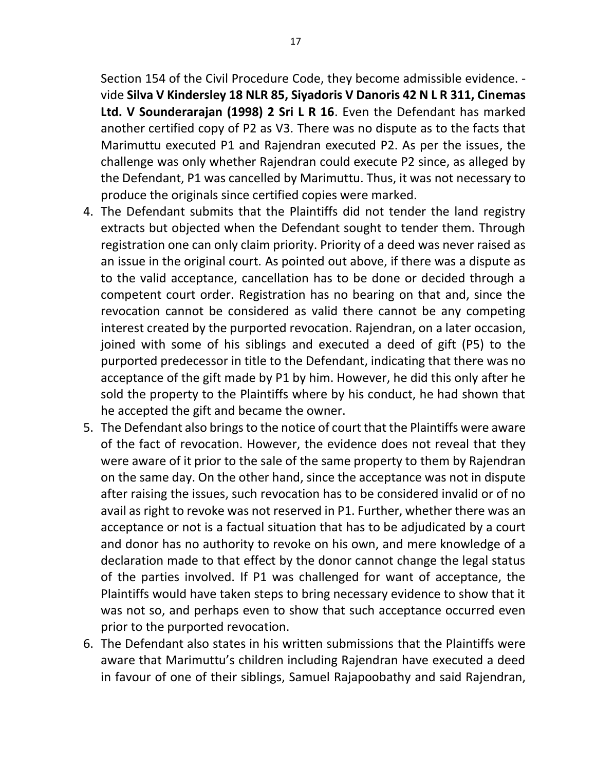Section 154 of the Civil Procedure Code, they become admissible evidence. vide **Silva V Kindersley 18 NLR 85, Siyadoris V Danoris 42 N L R 311, Cinemas Ltd. V Sounderarajan (1998) 2 Sri L R 16**. Even the Defendant has marked another certified copy of P2 as V3. There was no dispute as to the facts that Marimuttu executed P1 and Rajendran executed P2. As per the issues, the challenge was only whether Rajendran could execute P2 since, as alleged by the Defendant, P1 was cancelled by Marimuttu. Thus, it was not necessary to produce the originals since certified copies were marked.

- 4. The Defendant submits that the Plaintiffs did not tender the land registry extracts but objected when the Defendant sought to tender them. Through registration one can only claim priority. Priority of a deed was never raised as an issue in the original court. As pointed out above, if there was a dispute as to the valid acceptance, cancellation has to be done or decided through a competent court order. Registration has no bearing on that and, since the revocation cannot be considered as valid there cannot be any competing interest created by the purported revocation. Rajendran, on a later occasion, joined with some of his siblings and executed a deed of gift (P5) to the purported predecessor in title to the Defendant, indicating that there was no acceptance of the gift made by P1 by him. However, he did this only after he sold the property to the Plaintiffs where by his conduct, he had shown that he accepted the gift and became the owner.
- 5. The Defendant also brings to the notice of court that the Plaintiffs were aware of the fact of revocation. However, the evidence does not reveal that they were aware of it prior to the sale of the same property to them by Rajendran on the same day. On the other hand, since the acceptance was not in dispute after raising the issues, such revocation has to be considered invalid or of no avail as right to revoke was not reserved in P1. Further, whether there was an acceptance or not is a factual situation that has to be adjudicated by a court and donor has no authority to revoke on his own, and mere knowledge of a declaration made to that effect by the donor cannot change the legal status of the parties involved. If P1 was challenged for want of acceptance, the Plaintiffs would have taken steps to bring necessary evidence to show that it was not so, and perhaps even to show that such acceptance occurred even prior to the purported revocation.
- 6. The Defendant also states in his written submissions that the Plaintiffs were aware that Marimuttu's children including Rajendran have executed a deed in favour of one of their siblings, Samuel Rajapoobathy and said Rajendran,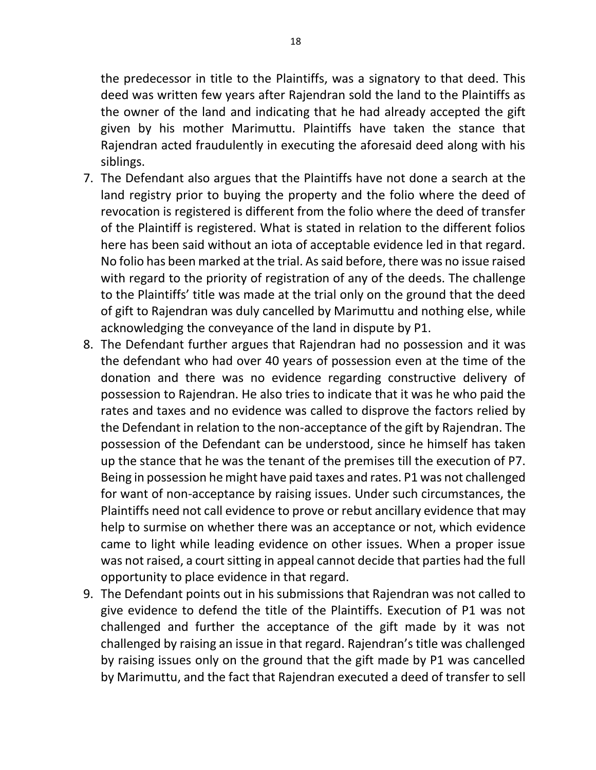the predecessor in title to the Plaintiffs, was a signatory to that deed. This deed was written few years after Rajendran sold the land to the Plaintiffs as the owner of the land and indicating that he had already accepted the gift given by his mother Marimuttu. Plaintiffs have taken the stance that Rajendran acted fraudulently in executing the aforesaid deed along with his siblings.

- 7. The Defendant also argues that the Plaintiffs have not done a search at the land registry prior to buying the property and the folio where the deed of revocation is registered is different from the folio where the deed of transfer of the Plaintiff is registered. What is stated in relation to the different folios here has been said without an iota of acceptable evidence led in that regard. No folio has been marked at the trial. As said before, there was no issue raised with regard to the priority of registration of any of the deeds. The challenge to the Plaintiffs' title was made at the trial only on the ground that the deed of gift to Rajendran was duly cancelled by Marimuttu and nothing else, while acknowledging the conveyance of the land in dispute by P1.
- 8. The Defendant further argues that Rajendran had no possession and it was the defendant who had over 40 years of possession even at the time of the donation and there was no evidence regarding constructive delivery of possession to Rajendran. He also tries to indicate that it was he who paid the rates and taxes and no evidence was called to disprove the factors relied by the Defendant in relation to the non-acceptance of the gift by Rajendran. The possession of the Defendant can be understood, since he himself has taken up the stance that he was the tenant of the premises till the execution of P7. Being in possession he might have paid taxes and rates. P1 was not challenged for want of non-acceptance by raising issues. Under such circumstances, the Plaintiffs need not call evidence to prove or rebut ancillary evidence that may help to surmise on whether there was an acceptance or not, which evidence came to light while leading evidence on other issues. When a proper issue was not raised, a court sitting in appeal cannot decide that parties had the full opportunity to place evidence in that regard.
- 9. The Defendant points out in his submissions that Rajendran was not called to give evidence to defend the title of the Plaintiffs. Execution of P1 was not challenged and further the acceptance of the gift made by it was not challenged by raising an issue in that regard. Rajendran's title was challenged by raising issues only on the ground that the gift made by P1 was cancelled by Marimuttu, and the fact that Rajendran executed a deed of transfer to sell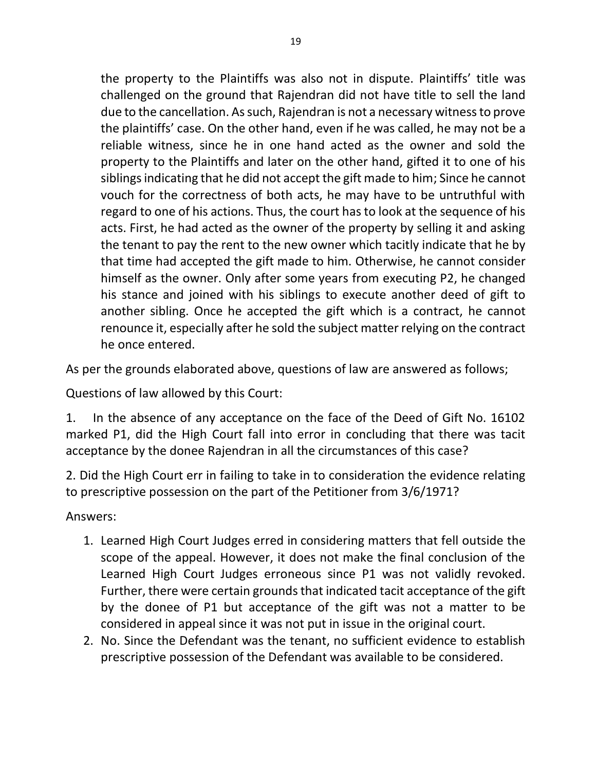the property to the Plaintiffs was also not in dispute. Plaintiffs' title was challenged on the ground that Rajendran did not have title to sell the land due to the cancellation. As such, Rajendran is not a necessary witness to prove the plaintiffs' case. On the other hand, even if he was called, he may not be a reliable witness, since he in one hand acted as the owner and sold the property to the Plaintiffs and later on the other hand, gifted it to one of his siblings indicating that he did not accept the gift made to him; Since he cannot vouch for the correctness of both acts, he may have to be untruthful with regard to one of his actions. Thus, the court has to look at the sequence of his acts. First, he had acted as the owner of the property by selling it and asking the tenant to pay the rent to the new owner which tacitly indicate that he by that time had accepted the gift made to him. Otherwise, he cannot consider himself as the owner. Only after some years from executing P2, he changed his stance and joined with his siblings to execute another deed of gift to another sibling. Once he accepted the gift which is a contract, he cannot renounce it, especially after he sold the subject matter relying on the contract he once entered.

As per the grounds elaborated above, questions of law are answered as follows;

Questions of law allowed by this Court:

1. In the absence of any acceptance on the face of the Deed of Gift No. 16102 marked P1, did the High Court fall into error in concluding that there was tacit acceptance by the donee Rajendran in all the circumstances of this case?

2. Did the High Court err in failing to take in to consideration the evidence relating to prescriptive possession on the part of the Petitioner from 3/6/1971?

Answers:

- 1. Learned High Court Judges erred in considering matters that fell outside the scope of the appeal. However, it does not make the final conclusion of the Learned High Court Judges erroneous since P1 was not validly revoked. Further, there were certain grounds that indicated tacit acceptance of the gift by the donee of P1 but acceptance of the gift was not a matter to be considered in appeal since it was not put in issue in the original court.
- 2. No. Since the Defendant was the tenant, no sufficient evidence to establish prescriptive possession of the Defendant was available to be considered.